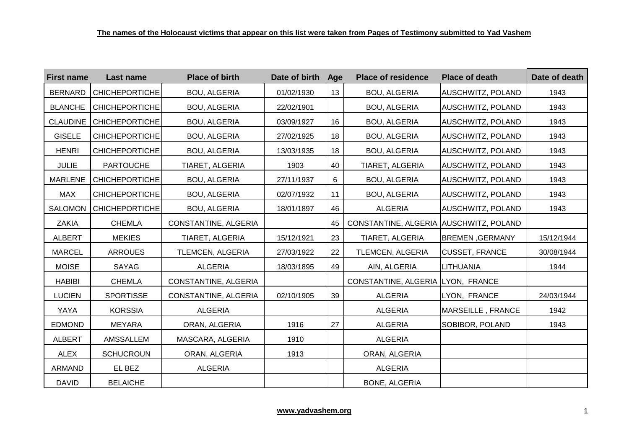| <b>First name</b> | Last name             | <b>Place of birth</b> | Date of birth Age |    | <b>Place of residence</b>              | <b>Place of death</b>    | Date of death |
|-------------------|-----------------------|-----------------------|-------------------|----|----------------------------------------|--------------------------|---------------|
| <b>BERNARD</b>    | <b>CHICHEPORTICHE</b> | <b>BOU, ALGERIA</b>   | 01/02/1930        | 13 | <b>BOU, ALGERIA</b>                    | <b>AUSCHWITZ, POLAND</b> | 1943          |
| <b>BLANCHE</b>    | <b>CHICHEPORTICHE</b> | <b>BOU, ALGERIA</b>   | 22/02/1901        |    | <b>BOU, ALGERIA</b>                    | <b>AUSCHWITZ, POLAND</b> | 1943          |
| <b>CLAUDINE</b>   | <b>CHICHEPORTICHE</b> | <b>BOU, ALGERIA</b>   | 03/09/1927        | 16 | <b>BOU, ALGERIA</b>                    | <b>AUSCHWITZ, POLAND</b> | 1943          |
| <b>GISELE</b>     | <b>CHICHEPORTICHE</b> | <b>BOU, ALGERIA</b>   | 27/02/1925        | 18 | <b>BOU, ALGERIA</b>                    | <b>AUSCHWITZ, POLAND</b> | 1943          |
| <b>HENRI</b>      | <b>CHICHEPORTICHE</b> | <b>BOU, ALGERIA</b>   | 13/03/1935        | 18 | <b>BOU, ALGERIA</b>                    | <b>AUSCHWITZ, POLAND</b> | 1943          |
| <b>JULIE</b>      | <b>PARTOUCHE</b>      | TIARET, ALGERIA       | 1903              | 40 | TIARET, ALGERIA                        | <b>AUSCHWITZ, POLAND</b> | 1943          |
| <b>MARLENE</b>    | <b>CHICHEPORTICHE</b> | <b>BOU, ALGERIA</b>   | 27/11/1937        | 6  | <b>BOU, ALGERIA</b>                    | <b>AUSCHWITZ, POLAND</b> | 1943          |
| <b>MAX</b>        | <b>CHICHEPORTICHE</b> | <b>BOU, ALGERIA</b>   | 02/07/1932        | 11 | <b>BOU, ALGERIA</b>                    | <b>AUSCHWITZ, POLAND</b> | 1943          |
| <b>SALOMON</b>    | <b>CHICHEPORTICHE</b> | <b>BOU, ALGERIA</b>   | 18/01/1897        | 46 | <b>ALGERIA</b>                         | <b>AUSCHWITZ, POLAND</b> | 1943          |
| ZAKIA             | <b>CHEMLA</b>         | CONSTANTINE, ALGERIA  |                   | 45 | CONSTANTINE, ALGERIA AUSCHWITZ, POLAND |                          |               |
| <b>ALBERT</b>     | <b>MEKIES</b>         | TIARET, ALGERIA       | 15/12/1921        | 23 | TIARET, ALGERIA                        | <b>BREMEN, GERMANY</b>   | 15/12/1944    |
| <b>MARCEL</b>     | <b>ARROUES</b>        | TLEMCEN, ALGERIA      | 27/03/1922        | 22 | TLEMCEN, ALGERIA                       | <b>CUSSET, FRANCE</b>    | 30/08/1944    |
| <b>MOISE</b>      | <b>SAYAG</b>          | <b>ALGERIA</b>        | 18/03/1895        | 49 | AIN, ALGERIA                           | <b>LITHUANIA</b>         | 1944          |
| <b>HABIBI</b>     | <b>CHEMLA</b>         | CONSTANTINE, ALGERIA  |                   |    | CONSTANTINE, ALGERIA LYON, FRANCE      |                          |               |
| <b>LUCIEN</b>     | <b>SPORTISSE</b>      | CONSTANTINE, ALGERIA  | 02/10/1905        | 39 | <b>ALGERIA</b>                         | LYON, FRANCE             | 24/03/1944    |
| YAYA              | <b>KORSSIA</b>        | <b>ALGERIA</b>        |                   |    | <b>ALGERIA</b>                         | MARSEILLE, FRANCE        | 1942          |
| <b>EDMOND</b>     | <b>MEYARA</b>         | ORAN, ALGERIA         | 1916              | 27 | <b>ALGERIA</b>                         | SOBIBOR, POLAND          | 1943          |
| <b>ALBERT</b>     | AMSSALLEM             | MASCARA, ALGERIA      | 1910              |    | ALGERIA                                |                          |               |
| <b>ALEX</b>       | <b>SCHUCROUN</b>      | ORAN, ALGERIA         | 1913              |    | ORAN, ALGERIA                          |                          |               |
| ARMAND            | EL BEZ                | <b>ALGERIA</b>        |                   |    | <b>ALGERIA</b>                         |                          |               |
| <b>DAVID</b>      | <b>BELAICHE</b>       |                       |                   |    | <b>BONE, ALGERIA</b>                   |                          |               |